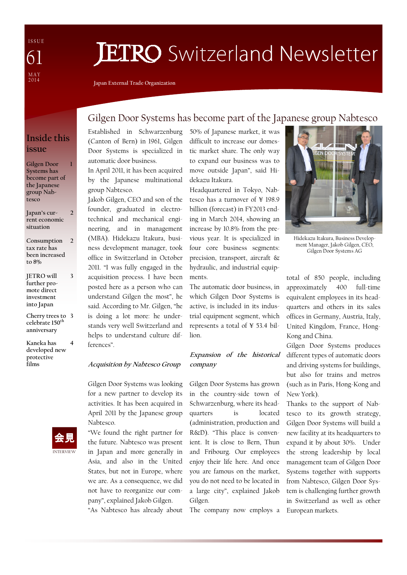I S S U E M A Y 2 0 1 4 61

# **JETRO** Switzerland Newsletter

Japan External Trade Organization

#### Inside this issue

1

3

Gilgen Door Systems has become part of the Japanese group Nabtesco

Japan's current economic situation  $\overline{2}$ 

- Consumption tax rate has been increased to 8%  $\overline{\phantom{a}}$
- JETRO will further promote direct investment into Japan
- Cherry trees to 3 celebrate 150<sup>th</sup> anniversary
- Kaneka has developed new protective films 4



#### Gilgen Door Systems has become part of the Japanese group Nabtesco

Established in Schwarzenburg (Canton of Bern) in 1961, Gilgen Door Systems is specialized in automatic door business.

In April 2011, it has been acquired by the Japanese multinational group Nabtesco.

Jakob Gilgen, CEO and son of the founder, graduated in electrotechnical and mechanical engineering, and in management (MBA). Hidekazu Itakura, business development manager, took office in Switzerland in October 2011. "I was fully engaged in the acquisition process. I have been posted here as a person who can understand Gilgen the most", he said. According to Mr. Gilgen, "he is doing a lot more: he understands very well Switzerland and helps to understand culture differences".

Acquisition by Nabtesco Group

Gilgen Door Systems was looking for a new partner to develop its activities. It has been acquired in April 2011 by the Japanese group Nabtesco.

"We found the right partner for the future. Nabtesco was present in Japan and more generally in Asia, and also in the United States, but not in Europe, where we are. As a consequence, we did not have to reorganize our company", explained Jakob Gilgen.

"As Nabtesco has already about

50% of Japanese market, it was difficult to increase our domestic market share. The only way to expand our business was to move outside Japan", said Hidekazu Itakura.

Headquartered in Tokyo, Nabtesco has a turnover of ¥ 198.9 billion (forecast) in FY2013 ending in March 2014, showing an increase by 10.8% from the previous year. It is specialized in four core business segments: precision, transport, aircraft & hydraulic, and industrial equipments.

The automatic door business, in which Gilgen Door Systems is active, is included in its industrial equipment segment, which represents a total of ¥ 53.4 billion.

#### Expansion of the historical company

Gilgen Door Systems has grown in the country-side town of Schwarzenburg, where its headquarters is located (administration, production and R&D). "This place is convenient. It is close to Bern, Thun and Fribourg. Our employees enjoy their life here. And once you are famous on the market, you do not need to be located in a large city", explained Jakob Gilgen.

The company now employs a



Hidekazu Itakura, Business Development Manager, Jakob Gilgen, CEO, Gilgen Door Systems AG

total of 850 people, including approximately 400 full-time equivalent employees in its headquarters and others in its sales offices in Germany, Austria, Italy, United Kingdom, France, Hong-Kong and China.

Gilgen Door Systems produces different types of automatic doors and driving systems for buildings, but also for trains and metros (such as in Paris, Hong-Kong and New York).

Thanks to the support of Nabtesco to its growth strategy, Gilgen Door Systems will build a new facility at its headquarters to expand it by about 30%. Under the strong leadership by local management team of Gilgen Door Systems together with supports from Nabtesco, Gilgen Door System is challenging further growth in Switzerland as well as other European markets.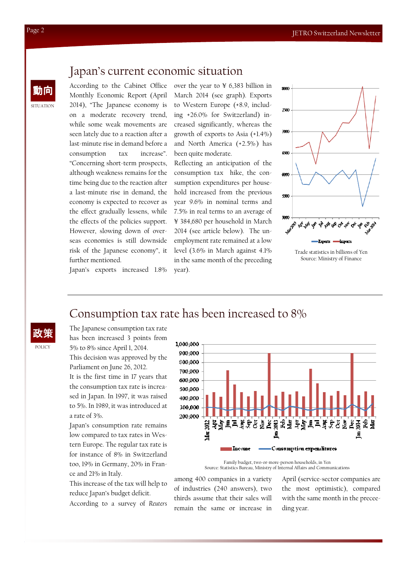## Japan's current economic situation

According to the Cabinet Office Monthly Economic Report (April 2014), "The Japanese economy is on a moderate recovery trend, while some weak movements are seen lately due to a reaction after a last-minute rise in demand before a consumption tax increase". "Concerning short-term prospects, although weakness remains for the time being due to the reaction after a last-minute rise in demand, the economy is expected to recover as the effect gradually lessens, while the effects of the policies support. However, slowing down of overseas economies is still downside risk of the Japanese economy", it further mentioned.

over the year to ¥ 6,383 billion in March 2014 (see graph). Exports to Western Europe (+8.9, including +26.0% for Switzerland) increased significantly, whereas the growth of exports to Asia (+1.4%) and North America (+2.5%) has been quite moderate.

Reflecting an anticipation of the consumption tax hike, the consumption expenditures per household increased from the previous year 9.6% in nominal terms and 7.5% in real terms to an average of ¥ 384,680 per household in March 2014 (see article below). The unemployment rate remained at a low level (3.6% in March against 4.1% in the same month of the preceding year).



Trade statistics in billions of Yen Source: Ministry of Finance

Japan's exports increased 1.8%

## Consumption tax rate has been increased to 8%

The Japanese consumption tax rate has been increased 3 points from 5% to 8% since April 1, 2014.

This decision was approved by the Parliament on June 26, 2012. It is the first time in 17 years that

the consumption tax rate is increased in Japan. In 1997, it was raised to 5%. In 1989, it was introduced at a rate of 3%.

Japan's consumption rate remains low compared to tax rates in Western Europe. The regular tax rate is for instance of 8% in Switzerland too, 19% in Germany, 20% in France and 21% in Italy.

This increase of the tax will help to reduce Japan's budget deficit.

According to a survey of Reuters



Family budget, two-or-more-person households, in Yen Source: Statistics Bureau, Ministry of Internal Affairs and Communications

among 400 companies in a variety of industries (240 answers), two thirds assume that their sales will remain the same or increase in

April (service-sector companies are the most optimistic), compared with the same month in the preceeding year.

SITUATION

POLICY

政策

動向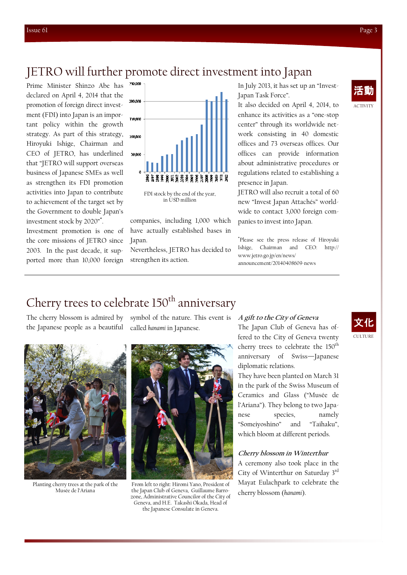#### JETRO will further promote direct investment into Japan

declared on April 4, 2014 that the promotion of foreign direct investment (FDI) into Japan is an important policy within the growth strategy. As part of this strategy, Hiroyuki Ishige, Chairman and CEO of JETRO, has underlined that "JETRO will support overseas business of Japanese SMEs as well as strengthen its FDI promotion activities into Japan to contribute to achievement of the target set by the Government to double Japan's investment stock by 2020"\* .

Investment promotion is one of the core missions of JETRO since 2003. In the past decade, it supported more than 10,000 foreign



FDI stock by the end of the year, in USD million

companies, including 1,000 which have actually established bases in Japan.

Nevertheless, JETRO has decided to strengthen its action.

Japan Task Force".

It also decided on April 4, 2014, to enhance its activities as a "one-stop center" through its worldwide network consisting in 40 domestic offices and 73 overseas offices. Our offices can provide information about administrative procedures or regulations related to establishing a presence in Japan.

JETRO will also recruit a total of 60 new "Invest Japan Attachés" worldwide to contact 3,000 foreign companies to invest into Japan.

\* Please see the press release of Hiroyuki Ishige, Chairman and CEO: http:// www.jetro.go.jp/en/news/ announcement/20140408609-news

# Cherry trees to celebrate 150<sup>th</sup> anniversary

the Japanese people as a beautiful



Planting cherry trees at the park of the Musée de l'Ariana

The cherry blossom is admired by symbol of the nature. This event is  $\;$  A gift to the City of Geneva called hanami in Japanese.



From left to right: Hiromi Yano, President of the Japan Club of Geneva, Guillaume Barrozone, Administrative Councilor of the City of Geneva, and H.E. Takashi Okada, Head of the Japanese Consulate in Geneva.

The Japan Club of Geneva has offered to the City of Geneva twenty cherry trees to celebrate the 150<sup>th</sup> anniversary of Swiss—Japanese diplomatic relations.

They have been planted on March 31 in the park of the Swiss Museum of Ceramics and Glass ("Musée de l'Ariana"). They belong to two Japanese species, namely "Someiyoshino" and "Taihaku", which bloom at different periods.

#### Cherry blossom in Winterthur

A ceremony also took place in the City of Winterthur on Saturday 3rd Mayat Eulachpark to celebrate the cherry blossom (hanami).



CULTURE 文化